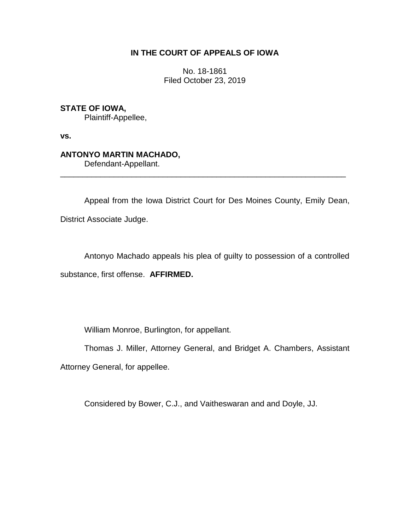## **IN THE COURT OF APPEALS OF IOWA**

No. 18-1861 Filed October 23, 2019

## **STATE OF IOWA,**

Plaintiff-Appellee,

**vs.**

## **ANTONYO MARTIN MACHADO,**

Defendant-Appellant.

Appeal from the Iowa District Court for Des Moines County, Emily Dean, District Associate Judge.

\_\_\_\_\_\_\_\_\_\_\_\_\_\_\_\_\_\_\_\_\_\_\_\_\_\_\_\_\_\_\_\_\_\_\_\_\_\_\_\_\_\_\_\_\_\_\_\_\_\_\_\_\_\_\_\_\_\_\_\_\_\_\_\_

Antonyo Machado appeals his plea of guilty to possession of a controlled substance, first offense. **AFFIRMED.**

William Monroe, Burlington, for appellant.

Thomas J. Miller, Attorney General, and Bridget A. Chambers, Assistant Attorney General, for appellee.

Considered by Bower, C.J., and Vaitheswaran and and Doyle, JJ.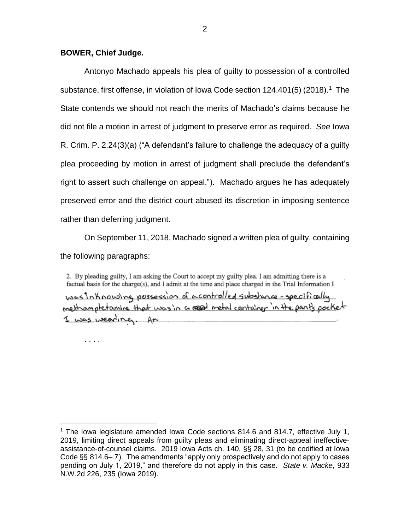### **BOWER, Chief Judge.**

. . . .

 $\overline{a}$ 

Antonyo Machado appeals his plea of guilty to possession of a controlled substance, first offense, in violation of Iowa Code section  $124.401(5)$  (2018).<sup>1</sup> The State contends we should not reach the merits of Machado's claims because he did not file a motion in arrest of judgment to preserve error as required. *See* Iowa R. Crim. P. 2.24(3)(a) ("A defendant's failure to challenge the adequacy of a guilty plea proceeding by motion in arrest of judgment shall preclude the defendant's right to assert such challenge on appeal."). Machado argues he has adequately preserved error and the district court abused its discretion in imposing sentence rather than deferring judgment.

On September 11, 2018, Machado signed a written plea of guilty, containing the following paragraphs:

2. By pleading guilty, I am asking the Court to accept my guilty plea. I am admitting there is a factual basis for the charge(s), and I admit at the time and place charged in the Trial Information I was Inhorousing possession of a controlled substance-specifically I was wearing. An

 $1$  The Iowa legislature amended Iowa Code sections 814.6 and 814.7, effective July 1, 2019, limiting direct appeals from guilty pleas and eliminating direct-appeal ineffectiveassistance-of-counsel claims. 2019 Iowa Acts ch. 140, §§ 28, 31 (to be codified at Iowa Code §§ 814.6–.7). The amendments "apply only prospectively and do not apply to cases pending on July 1, 2019," and therefore do not apply in this case. *State v. Macke*, 933 N.W.2d 226, 235 (Iowa 2019).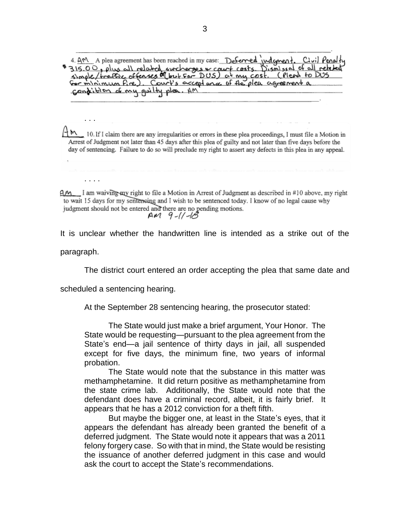4. AM A plea agreement has been reached in my case: Deferred judgment. Civil Penalty 315.00, plus all related surcherges & court costs. Dismissal of all related Gor minimum fire). Court's accept and of the plea agreement a condition of my guilty plea. AM

Ηm 10. If I claim there are any irregularities or errors in these plea proceedings, I must file a Motion in Arrest of Judgment not later than 45 days after this plea of guilty and not later than five days before the day of sentencing. Failure to do so will preclude my right to assert any defects in this plea in any appeal.

4M I am waiving my right to file a Motion in Arrest of Judgment as described in #10 above, my right to wait 15 days for my sentensing and I wish to be sentenced today. I know of no legal cause why judgment should not be entered and there are no pending motions.  $AM$  9-11-18

It is unclear whether the handwritten line is intended as a strike out of the

paragraph.

. . .

. . . .

The district court entered an order accepting the plea that same date and

scheduled a sentencing hearing.

At the September 28 sentencing hearing, the prosecutor stated:

The State would just make a brief argument, Your Honor. The State would be requesting—pursuant to the plea agreement from the State's end—a jail sentence of thirty days in jail, all suspended except for five days, the minimum fine, two years of informal probation.

The State would note that the substance in this matter was methamphetamine. It did return positive as methamphetamine from the state crime lab. Additionally, the State would note that the defendant does have a criminal record, albeit, it is fairly brief. It appears that he has a 2012 conviction for a theft fifth.

But maybe the bigger one, at least in the State's eyes, that it appears the defendant has already been granted the benefit of a deferred judgment. The State would note it appears that was a 2011 felony forgery case. So with that in mind, the State would be resisting the issuance of another deferred judgment in this case and would ask the court to accept the State's recommendations.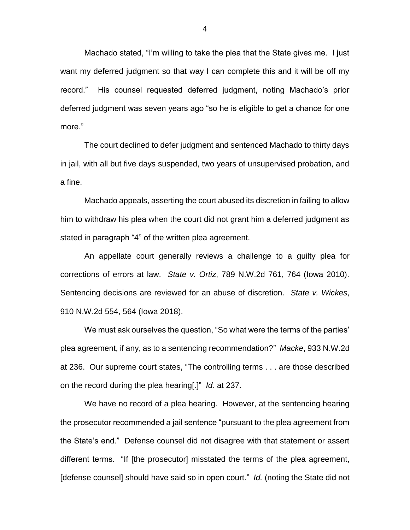Machado stated, "I'm willing to take the plea that the State gives me. I just want my deferred judgment so that way I can complete this and it will be off my record." His counsel requested deferred judgment, noting Machado's prior deferred judgment was seven years ago "so he is eligible to get a chance for one more."

The court declined to defer judgment and sentenced Machado to thirty days in jail, with all but five days suspended, two years of unsupervised probation, and a fine.

Machado appeals, asserting the court abused its discretion in failing to allow him to withdraw his plea when the court did not grant him a deferred judgment as stated in paragraph "4" of the written plea agreement.

An appellate court generally reviews a challenge to a guilty plea for corrections of errors at law. *State v. Ortiz*, 789 N.W.2d 761, 764 (Iowa 2010). Sentencing decisions are reviewed for an abuse of discretion. *State v. Wickes*, 910 N.W.2d 554, 564 (Iowa 2018).

We must ask ourselves the question, "So what were the terms of the parties' plea agreement, if any, as to a sentencing recommendation?" *Macke*, 933 N.W.2d at 236. Our supreme court states, "The controlling terms . . . are those described on the record during the plea hearing[.]" *Id.* at 237.

We have no record of a plea hearing. However, at the sentencing hearing the prosecutor recommended a jail sentence "pursuant to the plea agreement from the State's end." Defense counsel did not disagree with that statement or assert different terms. "If [the prosecutor] misstated the terms of the plea agreement, [defense counsel] should have said so in open court." *Id.* (noting the State did not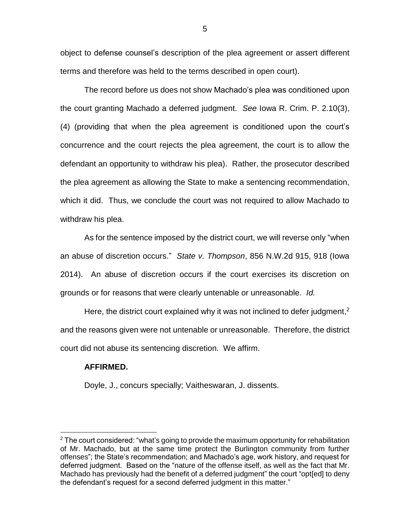object to defense counsel's description of the plea agreement or assert different terms and therefore was held to the terms described in open court).

The record before us does not show Machado's plea was conditioned upon the court granting Machado a deferred judgment. *See* Iowa R. Crim. P. 2.10(3), (4) (providing that when the plea agreement is conditioned upon the court's concurrence and the court rejects the plea agreement, the court is to allow the defendant an opportunity to withdraw his plea). Rather, the prosecutor described the plea agreement as allowing the State to make a sentencing recommendation, which it did. Thus, we conclude the court was not required to allow Machado to withdraw his plea.

As for the sentence imposed by the district court, we will reverse only "when an abuse of discretion occurs." *State v. Thompson*, 856 N.W.2d 915, 918 (Iowa 2014). An abuse of discretion occurs if the court exercises its discretion on grounds or for reasons that were clearly untenable or unreasonable. *Id.* 

Here, the district court explained why it was not inclined to defer judgment,<sup>2</sup> and the reasons given were not untenable or unreasonable. Therefore, the district court did not abuse its sentencing discretion. We affirm.

#### **AFFIRMED.**

 $\overline{a}$ 

Doyle, J., concurs specially; Vaitheswaran, J. dissents.

5

 $2$  The court considered: "what's going to provide the maximum opportunity for rehabilitation of Mr. Machado, but at the same time protect the Burlington community from further offenses"; the State's recommendation; and Machado's age, work history, and request for deferred judgment. Based on the "nature of the offense itself, as well as the fact that Mr. Machado has previously had the benefit of a deferred judgment" the court "opt[ed] to deny the defendant's request for a second deferred judgment in this matter."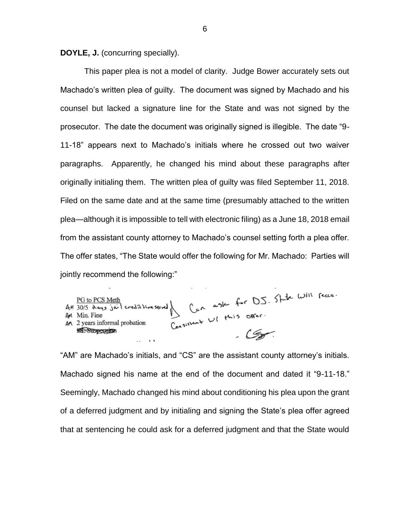**DOYLE, J.** (concurring specially).

This paper plea is not a model of clarity. Judge Bower accurately sets out Machado's written plea of guilty. The document was signed by Machado and his counsel but lacked a signature line for the State and was not signed by the prosecutor. The date the document was originally signed is illegible. The date "9- 11-18" appears next to Machado's initials where he crossed out two waiver paragraphs. Apparently, he changed his mind about these paragraphs after originally initialing them. The written plea of guilty was filed September 11, 2018. Filed on the same date and at the same time (presumably attached to the written plea—although it is impossible to tell with electronic filing) as a June 18, 2018 email from the assistant county attorney to Machado's counsel setting forth a plea offer. The offer states, "The State would offer the following for Mr. Machado: Parties will jointly recommend the following:"

PG to PCS Meth<br>AM 30/5 days juil credit timesend Can ask for DJ. State Will fecca.<br>AM Min. Fine<br>An 2 years informal probation Consistent WI this Offer.

"AM" are Machado's initials, and "CS" are the assistant county attorney's initials. Machado signed his name at the end of the document and dated it "9-11-18." Seemingly, Machado changed his mind about conditioning his plea upon the grant of a deferred judgment and by initialing and signing the State's plea offer agreed that at sentencing he could ask for a deferred judgment and that the State would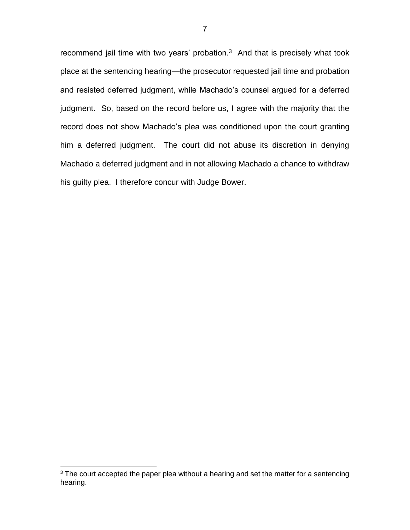recommend jail time with two years' probation. $3$  And that is precisely what took place at the sentencing hearing—the prosecutor requested jail time and probation and resisted deferred judgment, while Machado's counsel argued for a deferred judgment. So, based on the record before us, I agree with the majority that the record does not show Machado's plea was conditioned upon the court granting him a deferred judgment. The court did not abuse its discretion in denying Machado a deferred judgment and in not allowing Machado a chance to withdraw his guilty plea. I therefore concur with Judge Bower.

 $\overline{a}$ 

 $3$  The court accepted the paper plea without a hearing and set the matter for a sentencing hearing.